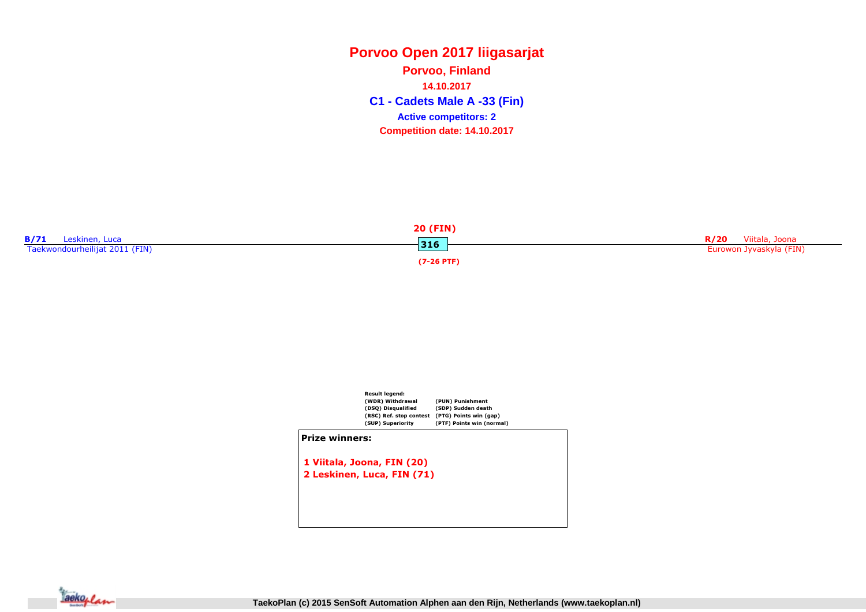**C1 - Cadets Male A -33 (Fin) Porvoo, Finland14.10.2017Competition date: 14.10.2017 Active competitors: 2**





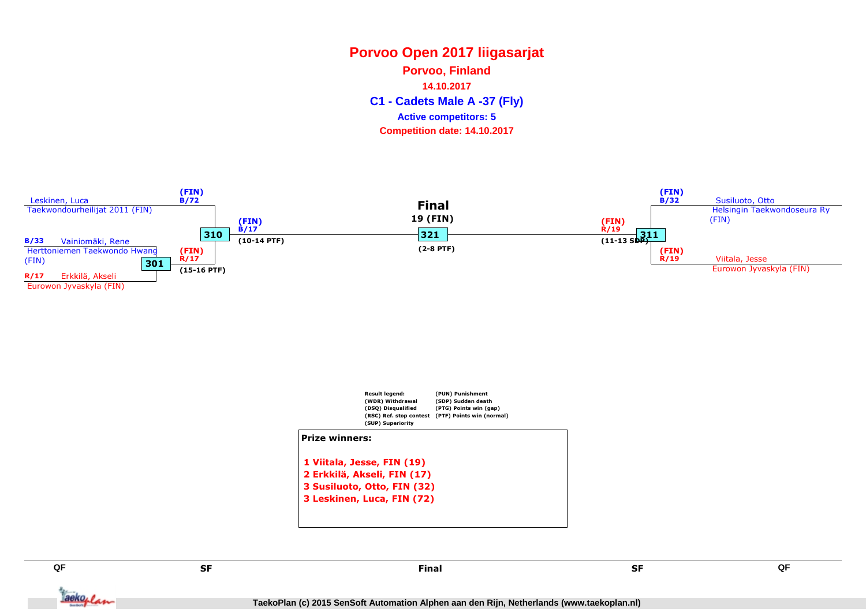**Porvoo, Finland**

**14.10.2017**

**C1 - Cadets Male A -37 (Fly)**

#### **Active competitors: 5**

**Competition date: 14.10.2017**





SF

Taekoplan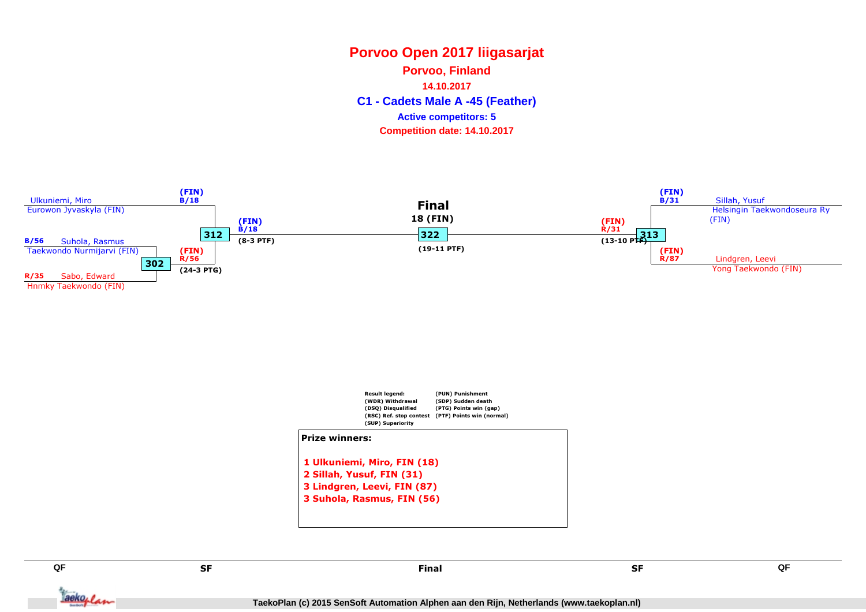**Porvoo, Finland**

**14.10.2017**

**C1 - Cadets Male A -45 (Feather)**

#### **Active competitors: 5**

**Competition date: 14.10.2017**





SF

Tackoplan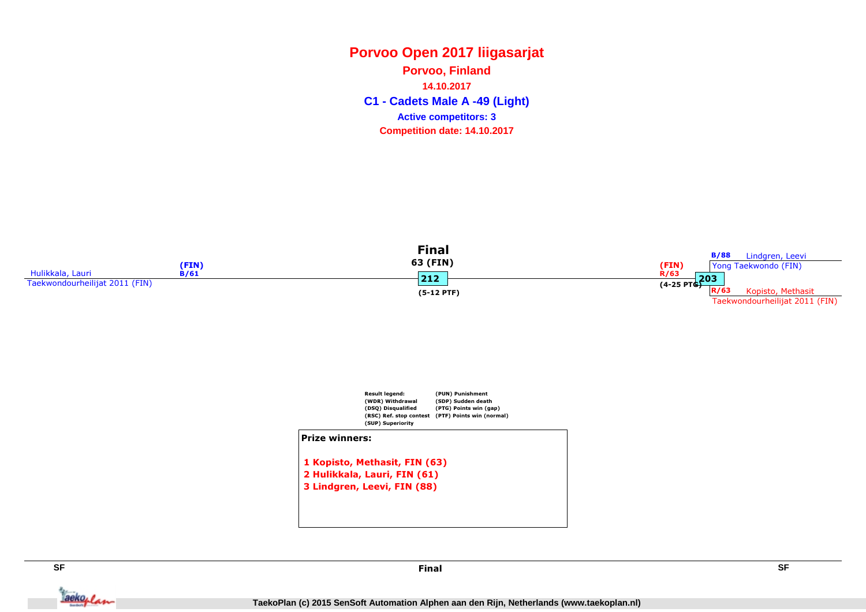**C1 - Cadets Male A -49 (Light) Porvoo, Finland14.10.2017Competition date: 14.10.2017 Active competitors: 3**





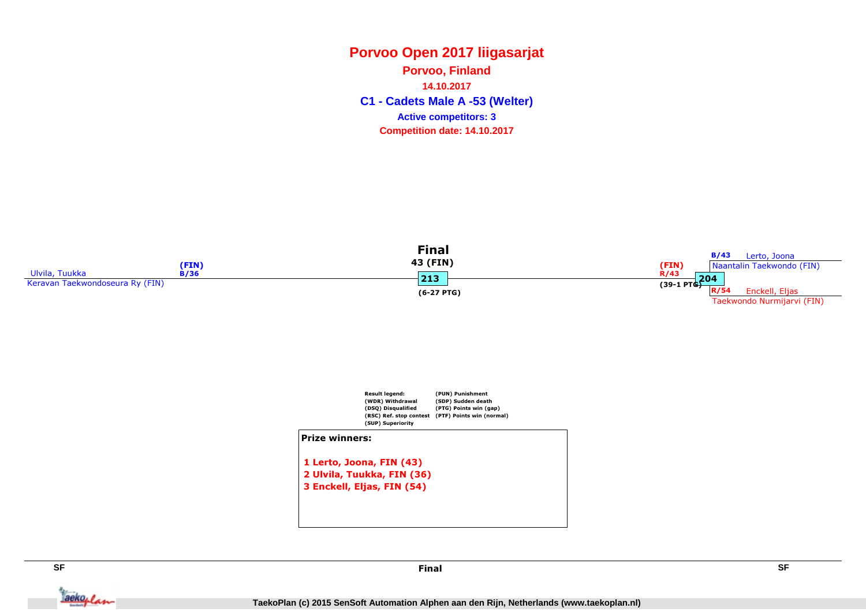**C1 - Cadets Male A -53 (Welter) Porvoo, Finland14.10.2017Competition date: 14.10.2017 Active competitors: 3**





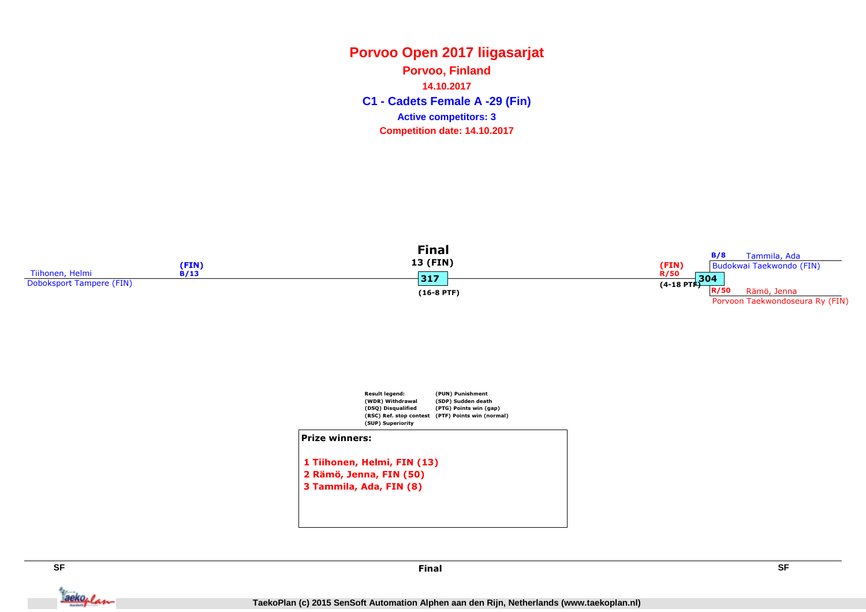**C1 - Cadets Female A -29 (Fin) Porvoo, Finland14.10.2017Competition date: 14.10.2017 Active competitors: 3**





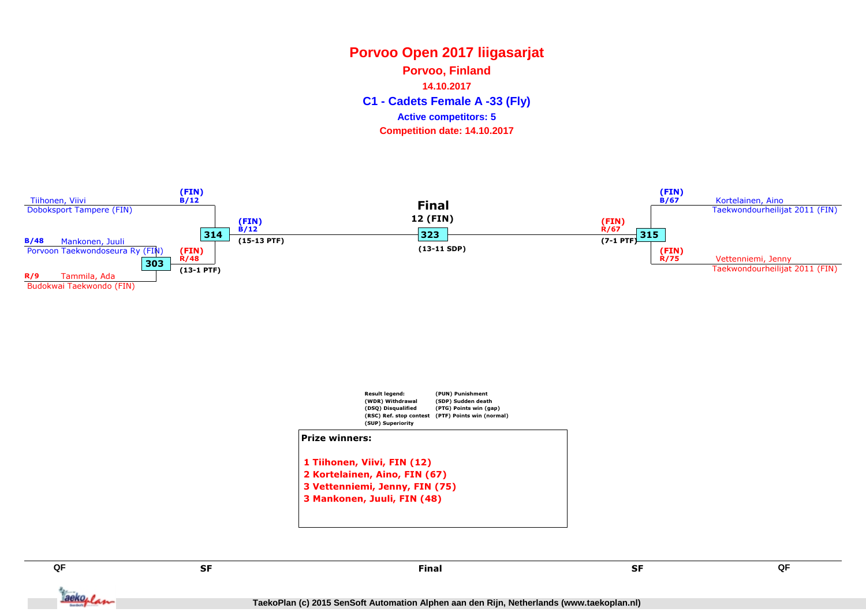**Porvoo, Finland**

**14.10.2017**

**C1 - Cadets Female A -33 (Fly)**

#### **Active competitors: 5**

**Competition date: 14.10.2017**





SF

Taekoplan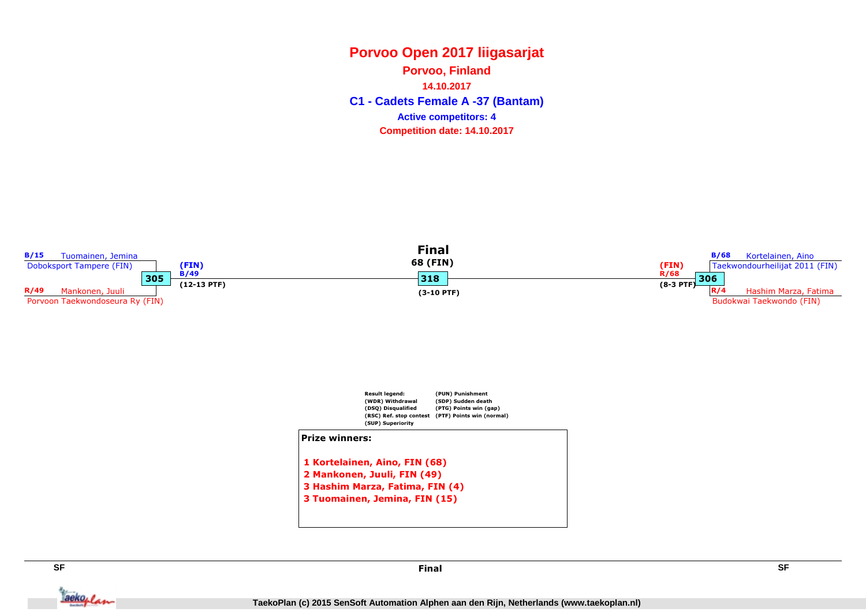**C1 - Cadets Female A -37 (Bantam) Porvoo, Finland14.10.2017Competition date: 14.10.2017 Active competitors: 4**







**TaekoPlan (c) 2015 SenSoft Automation Alphen aan den Rijn, Netherlands (www.taekoplan.nl)**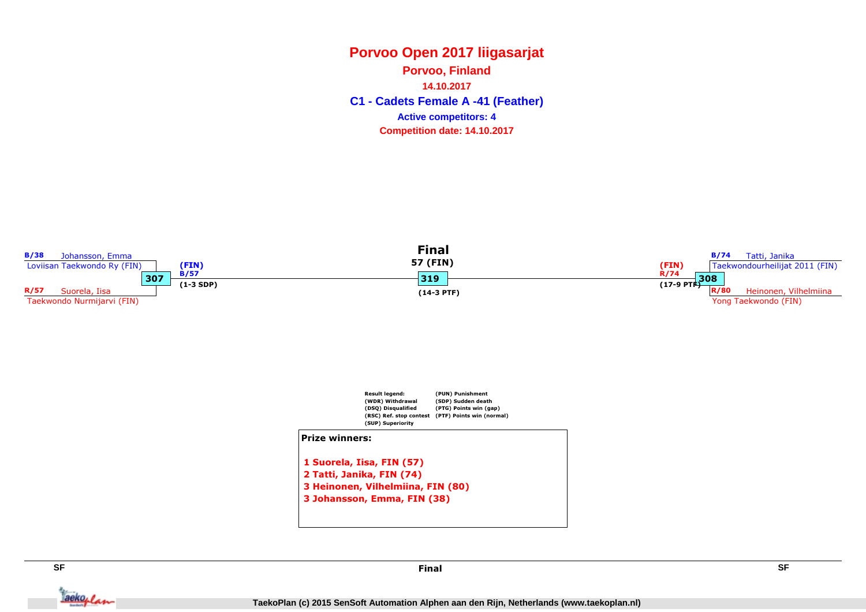**C1 - Cadets Female A -41 (Feather) Porvoo, Finland14.10.2017Competition date: 14.10.2017 Active competitors: 4**







Jackoplan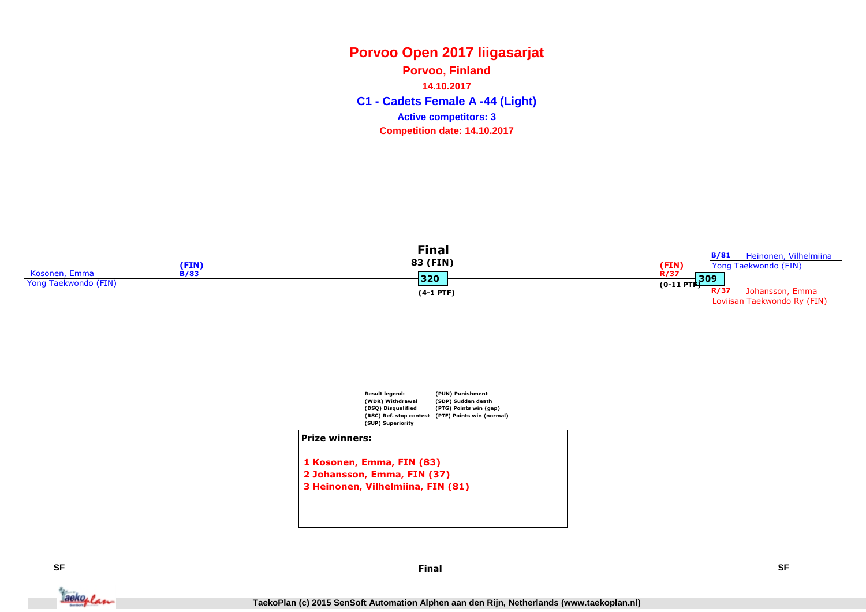**C1 - Cadets Female A -44 (Light) Porvoo, Finland14.10.2017Competition date: 14.10.2017 Active competitors: 3**





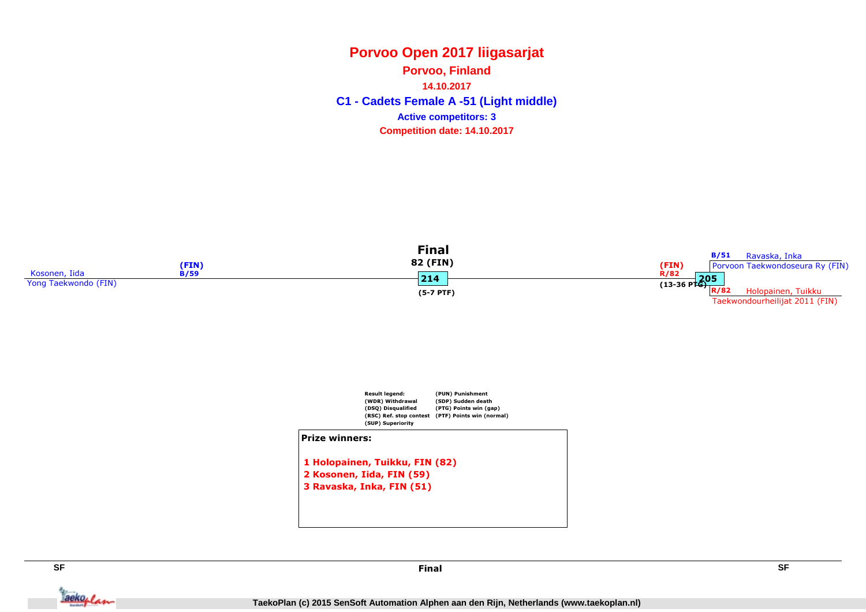#### **Porvoo Open 2017 liigasarjatPorvoo, Finland14.10.2017**

**C1 - Cadets Female A -51 (Light middle) Competition date: 14.10.2017 Active competitors: 3**





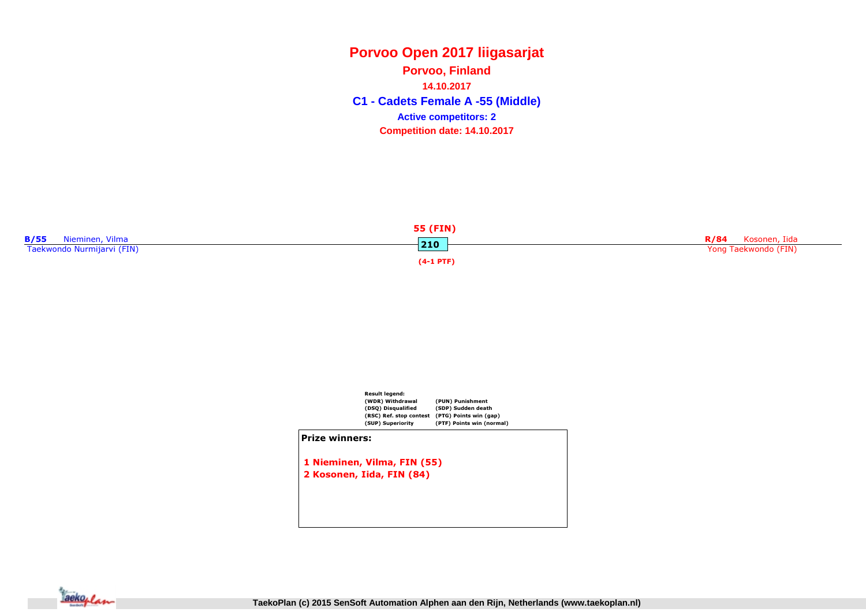**C1 - Cadets Female A -55 (Middle) Porvoo, Finland14.10.2017Competition date: 14.10.2017 Active competitors: 2**





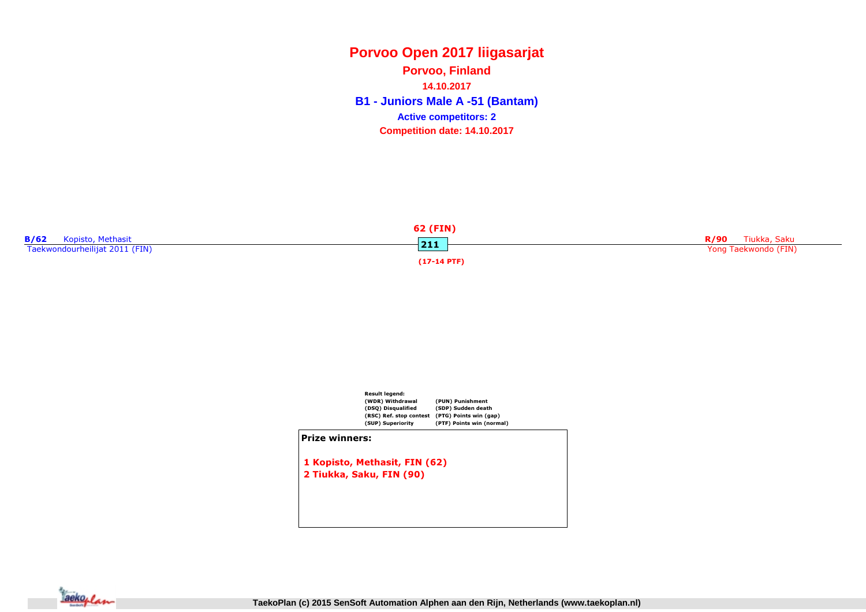### **Porvoo Open 2017 liigasarjatB1 - Juniors Male A -51 (Bantam) Porvoo, Finland14.10.2017Competition date: 14.10.2017 Active competitors: 2**





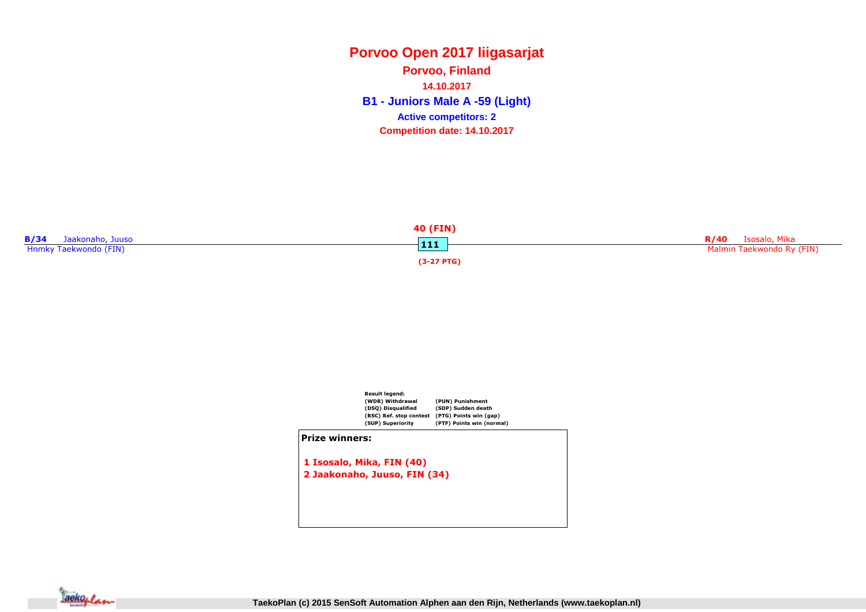**B1 - Juniors Male A -59 (Light) Porvoo, Finland14.10.2017Competition date: 14.10.2017 Active competitors: 2**





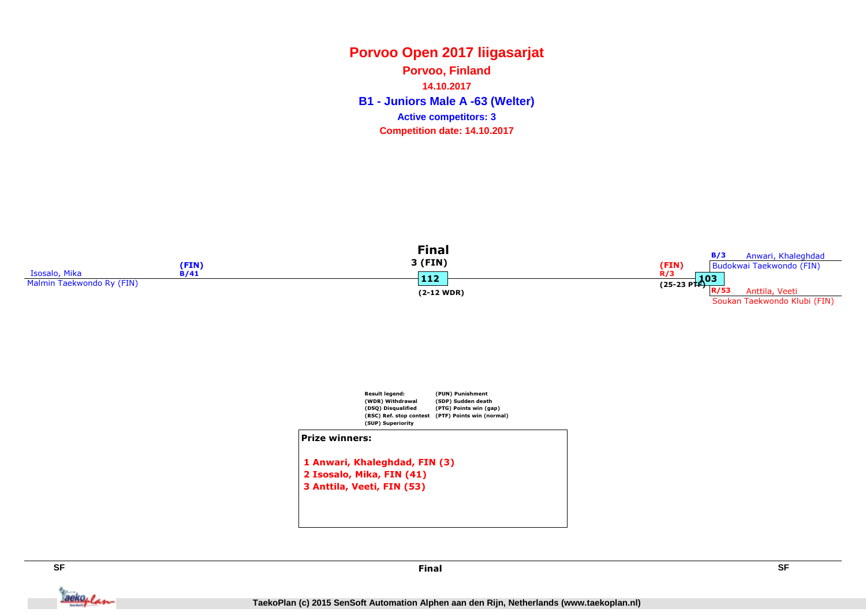**B1 - Juniors Male A -63 (Welter) Porvoo, Finland14.10.2017Competition date: 14.10.2017 Active competitors: 3**





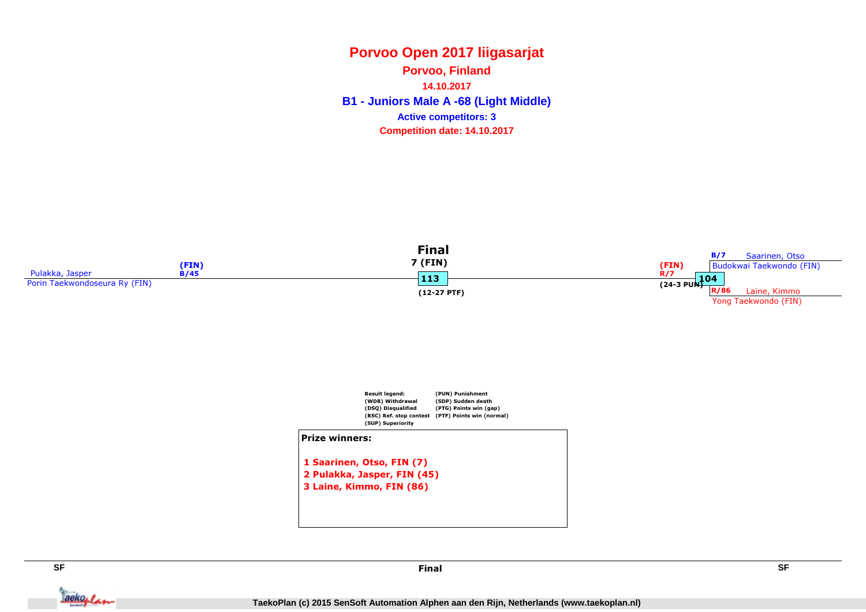**B1 - Juniors Male A -68 (Light Middle) Porvoo, Finland14.10.2017Competition date: 14.10.2017 Active competitors: 3**





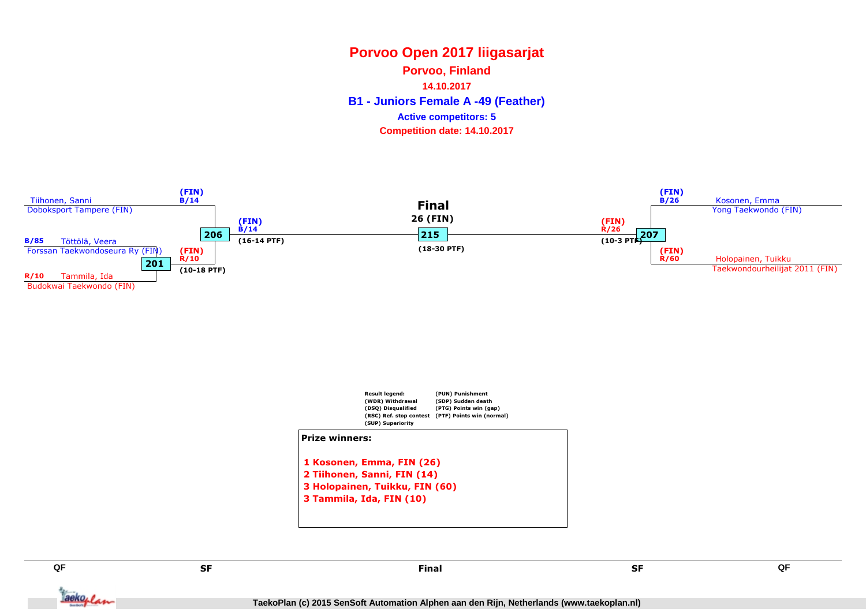**Porvoo, Finland**

**14.10.2017**

**B1 - Juniors Female A -49 (Feather)**

#### **Active competitors: 5**

**Competition date: 14.10.2017**







SF

Final

Tackoplan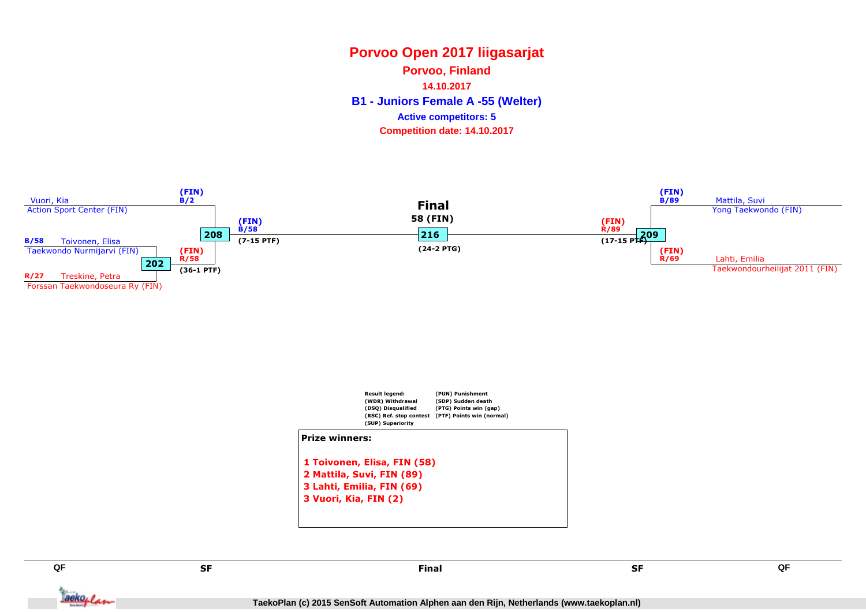**Porvoo, Finland**

**14.10.2017**

**B1 - Juniors Female A -55 (Welter)**

#### **Active competitors: 5**

**Competition date: 14.10.2017**







SF

Tackoplan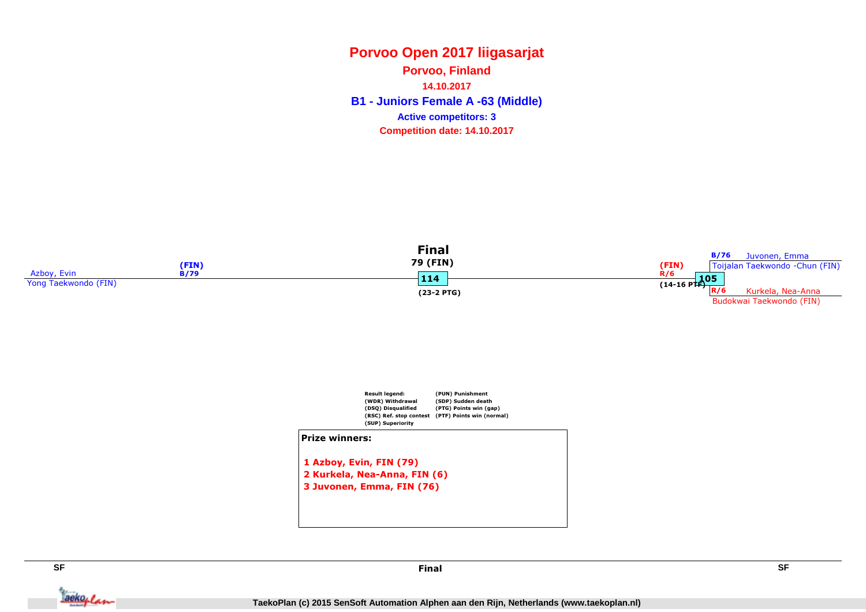**B1 - Juniors Female A -63 (Middle) Porvoo, Finland14.10.2017Competition date: 14.10.2017 Active competitors: 3**





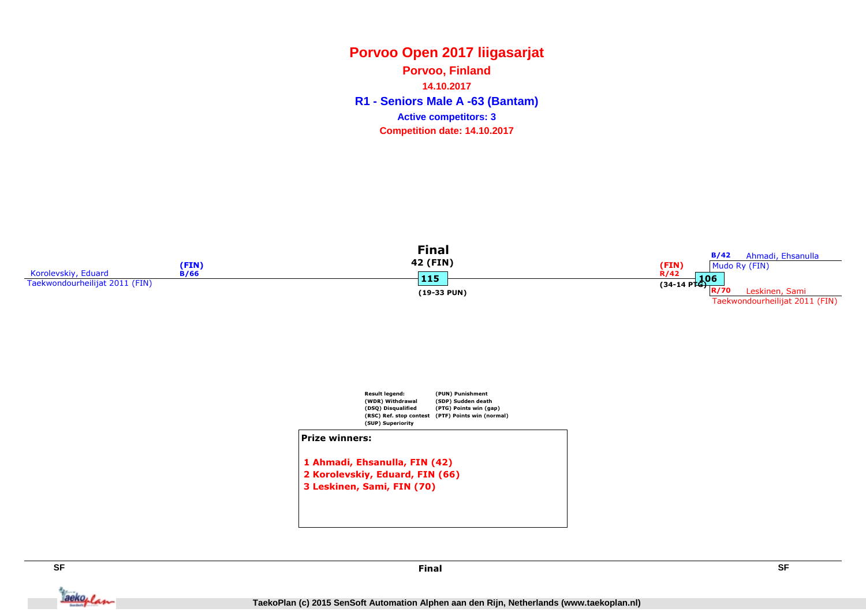**R1 - Seniors Male A -63 (Bantam) Porvoo, Finland14.10.2017Competition date: 14.10.2017 Active competitors: 3**





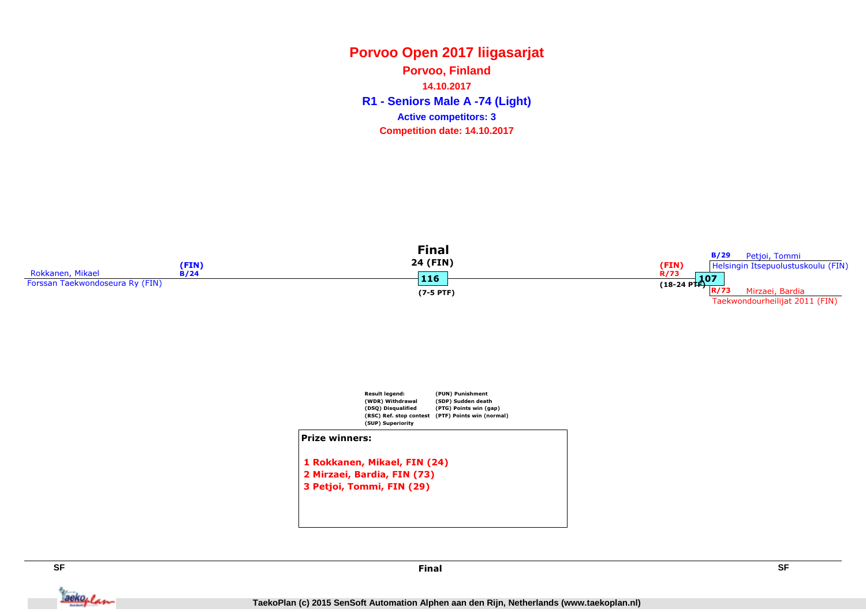**R1 - Seniors Male A -74 (Light) Porvoo, Finland14.10.2017Competition date: 14.10.2017 Active competitors: 3**





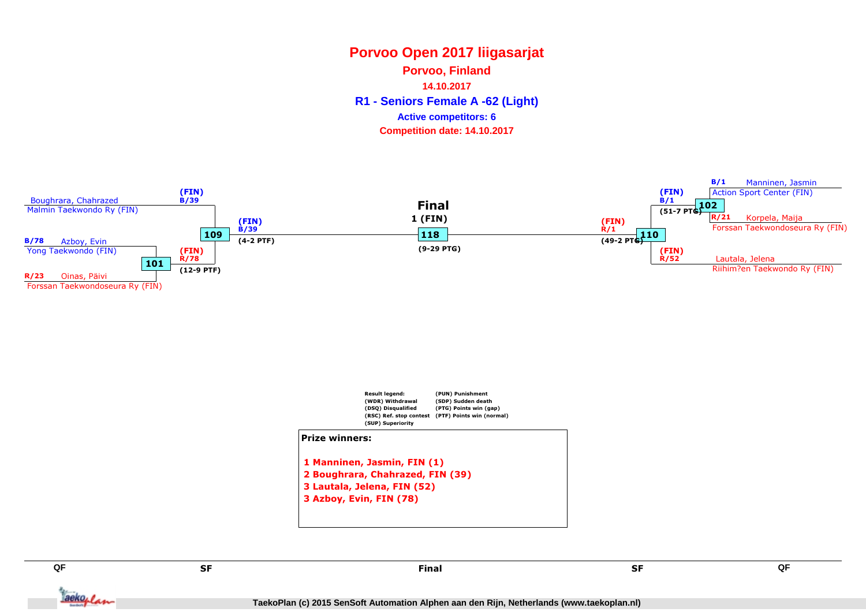**Porvoo, Finland**

**14.10.2017**

**R1 - Seniors Female A -62 (Light)**

#### **Active competitors: 6**

**Competition date: 14.10.2017**





 2 Boughrara, Chahrazed, FIN (39)3 Lautala, Jelena, FIN (52)3 Azboy, Evin, FIN (78)

SF

Tackoplan